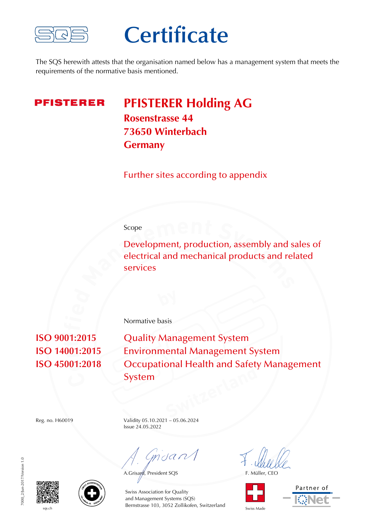

### **Certificate**

The SQS herewith attests that the organisation named below has a management system that meets the requirements of the normative basis mentioned.

**PFISTERER** 

**PFISTERER Holding AG Rosenstrasse 44 73650 Winterbach Germany**

Further sites according to appendix

#### Scope

Development, production, assembly and sales of electrical and mechanical products and related services

**ISO 9001:2015** Quality Management System **ISO 14001:2015** Environmental Management System **ISO 45001:2018** Occupational Health and Safety Management System

Reg. no. H60019 Validity 05.10.2021 – 05.06.2024 Issue 24.05.2022

Normative basis

 $m$ dan $\sqrt{}$ 

A.Grisard, President SQS F. Müller, CEO









sqs.ch Bernstrasse 103, 3052 Zollikofen, Switzerland Swiss Made Swiss Association for Quality and Management Systems (SQS)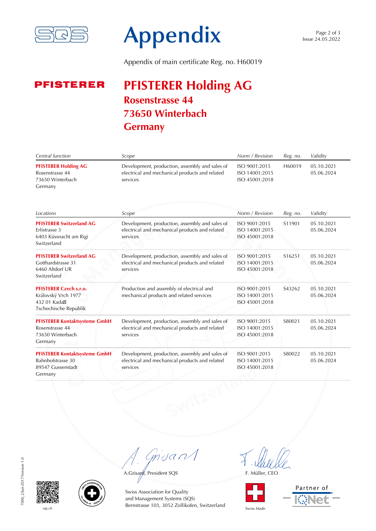

# **Appendix**

Appendix of main certificate Reg. no. H60019

#### **PFISTERER Holding AG PFISTERER Rosenstrasse 44 73650 Winterbach Germany**

| Central function                                                                                                               | Scope                                                                                                        | Norm / Revision                                   | Reg. no. | Validity                 |
|--------------------------------------------------------------------------------------------------------------------------------|--------------------------------------------------------------------------------------------------------------|---------------------------------------------------|----------|--------------------------|
| <b>PFISTERER Holding AG</b><br>Rosenstrasse 44<br>73650 Winterbach<br>Germany                                                  | Development, production, assembly and sales of<br>electrical and mechanical products and related<br>services | ISO 9001:2015<br>ISO 14001:2015<br>ISO 45001:2018 | H60019   | 05.10.2021<br>05.06.2024 |
| Locations                                                                                                                      | Scope                                                                                                        | Norm / Revision                                   | Reg. no. | Validity                 |
| <b>PFISTERER Switzerland AG</b><br><b>Frlistrasse 3</b><br>6403 Küssnacht am Rigi<br>Switzerland                               | Development, production, assembly and sales of<br>electrical and mechanical products and related<br>services | ISO 9001:2015<br>ISO 14001:2015<br>ISO 45001:2018 | S11901   | 05.10.2021<br>05.06.2024 |
| <b>PFISTERER Switzerland AG</b><br>Gotthardstrasse 31<br>6460 Altdorf UR<br>Switzerland                                        | Development, production, assembly and sales of<br>electrical and mechanical products and related<br>services | ISO 9001:2015<br>ISO 14001:2015<br>ISO 45001:2018 | S16251   | 05.10.2021<br>05.06.2024 |
| <b>PFISTERER Czech s.r.o.</b><br>Královský Vrch 1977<br>432 01 Kada <sub><math>\boxtimes</math></sub><br>Tschechische Republik | Production and assembly of electrical and<br>mechanical products and related services                        | ISO 9001:2015<br>ISO 14001:2015<br>ISO 45001:2018 | S43262   | 05.10.2021<br>05.06.2024 |
| <b>PFISTERER Kontaktsysteme GmbH</b><br>Rosenstrasse 44<br>73650 Winterbach<br>Germany                                         | Development, production, assembly and sales of<br>electrical and mechanical products and related<br>services | ISO 9001:2015<br>ISO 14001:2015<br>ISO 45001:2018 | S80021   | 05.10.2021<br>05.06.2024 |
| <b>PFISTERER Kontaktsysteme GmbH</b><br>Bahnhofstrasse 30<br>89547 Gussenstadt<br>Germany                                      | Development, production, assembly and sales of<br>electrical and mechanical products and related<br>services | ISO 9001:2015<br>ISO 14001:2015<br>ISO 45001:2018 | S80022   | 05.10.2021<br>05.06.2024 |

Grisant

A.Grisayd, President SQS F. Müller, CEO









sqs.ch Bernstrasse 103, 3052 Zollikofen, Switzerland Swiss Made Swiss Association for Quality and Management Systems (SQS)